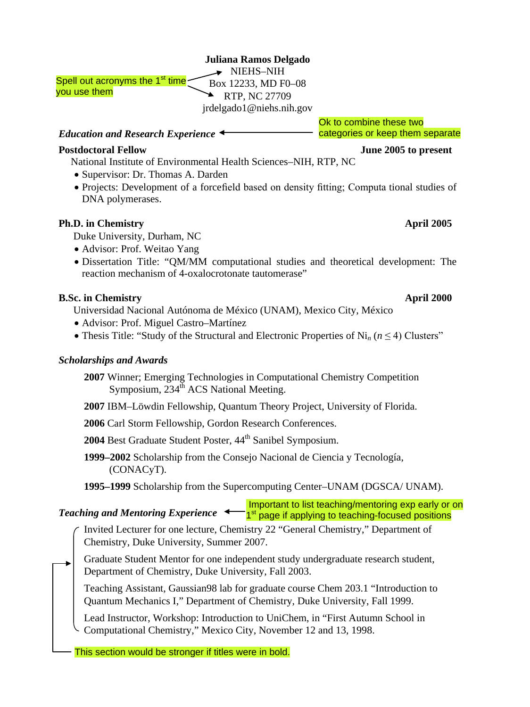|  |  | Juliana Ramos Delgado |
|--|--|-----------------------|
|--|--|-----------------------|

NIEHS-NIH Box 12233, MD F0–08 RTP, NC 27709 jrdelgado1@niehs.nih.gov Spell out acronyms the 1<sup>st</sup> time

### *Education and Research Experience*

### **Postdoctoral Fellow June 2005 to present**

you use them

National Institute of Environmental Health Sciences–NIH, RTP, NC

- Supervisor: Dr. Thomas A. Darden
- Projects: Development of a forcefield based on density fitting; Computa tional studies of DNA polymerases.

## **Ph.D. in Chemistry April 2005**

Duke University, Durham, NC

- Advisor: Prof. Weitao Yang
- Dissertation Title: "QM/MM computational studies and theoretical development: The reaction mechanism of 4-oxalocrotonate tautomerase"

# **B.Sc. in Chemistry April 2000**

Universidad Nacional Autónoma de México (UNAM), Mexico City, México

- Advisor: Prof. Miguel Castro–Martínez
- Thesis Title: "Study of the Structural and Electronic Properties of Ni*<sup>n</sup>* (*n* ≤ 4) Clusters"

## *Scholarships and Awards*

- **2007** Winner; Emerging Technologies in Computational Chemistry Competition Symposium, 234<sup>th</sup> ACS National Meeting.
- **2007** IBM–Löwdin Fellowship, Quantum Theory Project, University of Florida.
- **2006** Carl Storm Fellowship, Gordon Research Conferences.
- 2004 Best Graduate Student Poster,  $44<sup>th</sup>$  Sanibel Symposium.
- **1999–2002** Scholarship from the Consejo Nacional de Ciencia y Tecnología, (CONACyT).
- **1995–1999** Scholarship from the Supercomputing Center–UNAM (DGSCA/ UNAM).

*Teaching and Mentoring Experience*  Important to list teaching/mentoring exp early or on 1<sup>st</sup> page if applying to teaching-focused positions

- Invited Lecturer for one lecture, Chemistry 22 "General Chemistry," Department of Chemistry, Duke University, Summer 2007.
- Graduate Student Mentor for one independent study undergraduate research student, Department of Chemistry, Duke University, Fall 2003.

Teaching Assistant, Gaussian98 lab for graduate course Chem 203.1 "Introduction to Quantum Mechanics I," Department of Chemistry, Duke University, Fall 1999.

Lead Instructor, Workshop: Introduction to UniChem, in "First Autumn School in Computational Chemistry," Mexico City, November 12 and 13, 1998.

This section would be stronger if titles were in bold.

# Ok to combine these two categories or keep them separate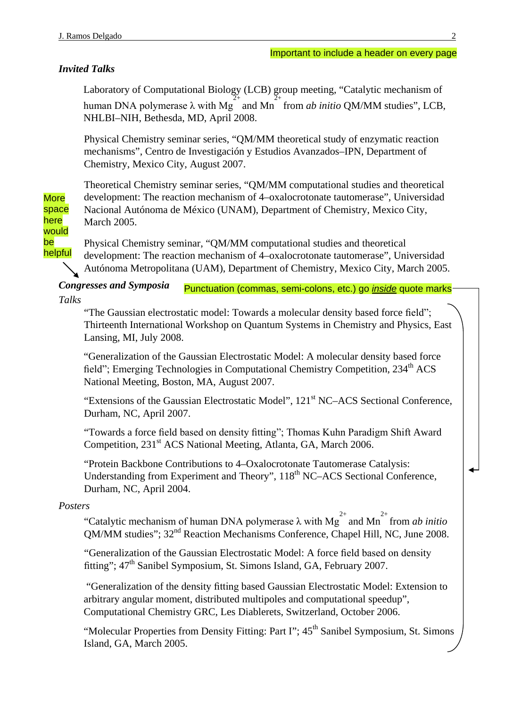# *Invited Talks*

Laboratory of Computational Biology (LCB) group meeting, "Catalytic mechanism of human DNA polymerase  $\lambda$  with Mg<sup>2+</sup> and Mn<sup>2+</sup> from *ab initio* QM/MM studies", LCB, NHLBI–NIH, Bethesda, MD, April 2008.

Physical Chemistry seminar series, "QM/MM theoretical study of enzymatic reaction mechanisms", Centro de Investigación y Estudios Avanzados–IPN, Department of Chemistry, Mexico City, August 2007.

Theoretical Chemistry seminar series, "QM/MM computational studies and theoretical development: The reaction mechanism of 4–oxalocrotonate tautomerase", Universidad Nacional Autónoma de México (UNAM), Department of Chemistry, Mexico City, March 2005.

here would be helpful

**More** space

> Physical Chemistry seminar, "QM/MM computational studies and theoretical development: The reaction mechanism of 4–oxalocrotonate tautomerase", Universidad Autónoma Metropolitana (UAM), Department of Chemistry, Mexico City, March 2005.

*Congresses and Symposia Talks*  Punctuation (commas, semi-colons, etc.) go *inside* quote marks

"The Gaussian electrostatic model: Towards a molecular density based force field"; Thirteenth International Workshop on Quantum Systems in Chemistry and Physics, East Lansing, MI, July 2008.

"Generalization of the Gaussian Electrostatic Model: A molecular density based force field"; Emerging Technologies in Computational Chemistry Competition, 234<sup>th</sup> ACS National Meeting, Boston, MA, August 2007.

"Extensions of the Gaussian Electrostatic Model", 121<sup>st</sup> NC–ACS Sectional Conference, Durham, NC, April 2007.

"Towards a force field based on density fitting"; Thomas Kuhn Paradigm Shift Award Competition, 231<sup>st</sup> ACS National Meeting, Atlanta, GA, March 2006.

"Protein Backbone Contributions to 4–Oxalocrotonate Tautomerase Catalysis: Understanding from Experiment and Theory", 118<sup>th</sup> NC–ACS Sectional Conference, Durham, NC, April 2004.

# *Posters*

"Catalytic mechanism of human DNA polymerase  $\lambda$  with Mg<sup>2+</sup> and Mn<sup>2+</sup> from *ab initio* QM/MM studies"; 32nd Reaction Mechanisms Conference, Chapel Hill, NC, June 2008.

"Generalization of the Gaussian Electrostatic Model: A force field based on density fitting"; 47<sup>th</sup> Sanibel Symposium, St. Simons Island, GA, February 2007.

"Generalization of the density fitting based Gaussian Electrostatic Model: Extension to arbitrary angular moment, distributed multipoles and computational speedup", Computational Chemistry GRC, Les Diablerets, Switzerland, October 2006.

"Molecular Properties from Density Fitting: Part  $\Gamma$ ";  $45^{\text{th}}$  Sanibel Symposium, St. Simons Island, GA, March 2005.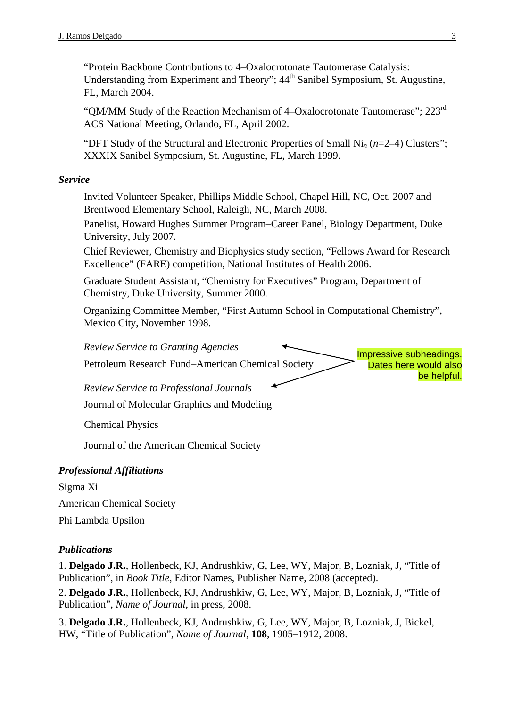"Protein Backbone Contributions to 4–Oxalocrotonate Tautomerase Catalysis: Understanding from Experiment and Theory";  $44<sup>th</sup>$  Sanibel Symposium, St. Augustine, FL, March 2004.

"OM/MM Study of the Reaction Mechanism of 4–Oxalocrotonate Tautomerase";  $223<sup>rd</sup>$ ACS National Meeting, Orlando, FL, April 2002.

"DFT Study of the Structural and Electronic Properties of Small Ni*<sup>n</sup>* (*n*=2–4) Clusters"; XXXIX Sanibel Symposium, St. Augustine, FL, March 1999.

### *Service*

Invited Volunteer Speaker, Phillips Middle School, Chapel Hill, NC, Oct. 2007 and Brentwood Elementary School, Raleigh, NC, March 2008.

Panelist, Howard Hughes Summer Program–Career Panel, Biology Department, Duke University, July 2007.

Chief Reviewer, Chemistry and Biophysics study section, "Fellows Award for Research Excellence" (FARE) competition, National Institutes of Health 2006.

Graduate Student Assistant, "Chemistry for Executives" Program, Department of Chemistry, Duke University, Summer 2000.

Organizing Committee Member, "First Autumn School in Computational Chemistry", Mexico City, November 1998.



Journal of Molecular Graphics and Modeling

Chemical Physics

Journal of the American Chemical Society

### *Professional Affiliations*

Sigma Xi American Chemical Society Phi Lambda Upsilon

### *Publications*

1. **Delgado J.R.**, Hollenbeck, KJ, Andrushkiw, G, Lee, WY, Major, B, Lozniak, J, "Title of Publication", in *Book Title*, Editor Names, Publisher Name, 2008 (accepted).

2. **Delgado J.R.**, Hollenbeck, KJ, Andrushkiw, G, Lee, WY, Major, B, Lozniak, J, "Title of Publication", *Name of Journal*, in press, 2008.

3. **Delgado J.R.**, Hollenbeck, KJ, Andrushkiw, G, Lee, WY, Major, B, Lozniak, J, Bickel, HW, "Title of Publication", *Name of Journal*, **108**, 1905–1912, 2008.